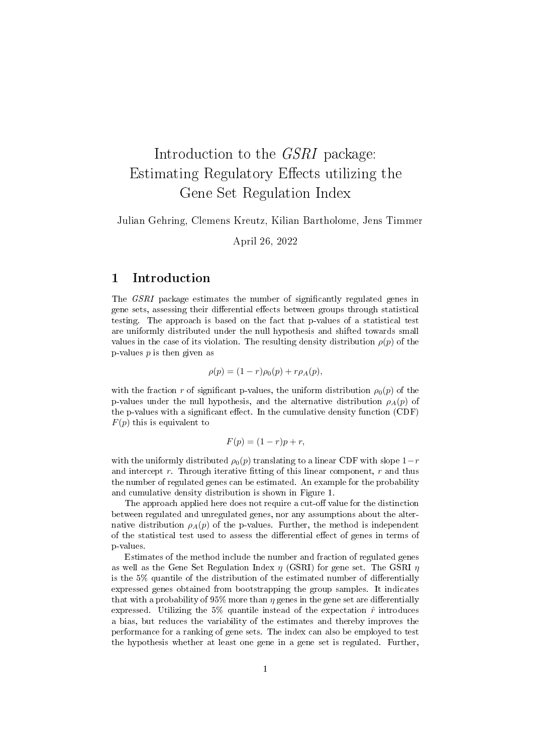# Introduction to the GSRI package: Estimating Regulatory Effects utilizing the Gene Set Regulation Index

Julian Gehring, Clemens Kreutz, Kilian Bartholome, Jens Timmer

April 26, 2022

## 1 Introduction

The *GSRI* package estimates the number of significantly regulated genes in gene sets, assessing their differential effects between groups through statistical testing. The approach is based on the fact that p-values of a statistical test are uniformly distributed under the null hypothesis and shifted towards small values in the case of its violation. The resulting density distribution  $\rho(p)$  of the p-values  $p$  is then given as

$$
\rho(p) = (1 - r)\rho_0(p) + r\rho_A(p),
$$

with the fraction r of significant p-values, the uniform distribution  $\rho_0(p)$  of the p-values under the null hypothesis, and the alternative distribution  $\rho_A(p)$  of the p-values with a significant effect. In the cumulative density function  $(CDF)$  $F(p)$  this is equivalent to

$$
F(p) = (1 - r)p + r,
$$

with the uniformly distributed  $\rho_0(p)$  translating to a linear CDF with slope  $1-r$ and intercept  $r$ . Through iterative fitting of this linear component,  $r$  and thus the number of regulated genes can be estimated. An example for the probability and cumulative density distribution is shown in Figure [1.](#page-1-0)

The approach applied here does not require a cut-off value for the distinction between regulated and unregulated genes, nor any assumptions about the alternative distribution  $\rho_A(p)$  of the p-values. Further, the method is independent of the statistical test used to assess the differential effect of genes in terms of p-values.

Estimates of the method include the number and fraction of regulated genes as well as the Gene Set Regulation Index  $\eta$  (GSRI) for gene set. The GSRI  $\eta$ is the  $5\%$  quantile of the distribution of the estimated number of differentially expressed genes obtained from bootstrapping the group samples. It indicates that with a probability of 95% more than  $\eta$  genes in the gene set are differentially expressed. Utilizing the 5% quantile instead of the expectation  $\hat{r}$  introduces a bias, but reduces the variability of the estimates and thereby improves the performance for a ranking of gene sets. The index can also be employed to test the hypothesis whether at least one gene in a gene set is regulated. Further,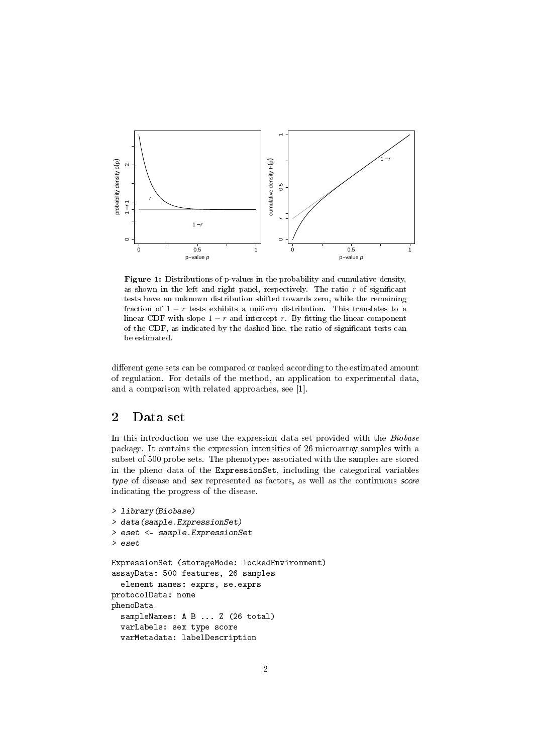<span id="page-1-0"></span>

Figure 1: Distributions of p-values in the probability and cumulative density, as shown in the left and right panel, respectively. The ratio  $r$  of significant tests have an unknown distribution shifted towards zero, while the remaining fraction of  $1 - r$  tests exhibits a uniform distribution. This translates to a linear CDF with slope  $1 - r$  and intercept r. By fitting the linear component of the CDF, as indicated by the dashed line, the ratio of signicant tests can be estimated.

different gene sets can be compared or ranked according to the estimated amount of regulation. For details of the method, an application to experimental data, and a comparison with related approaches, see [\[1\]](#page-8-0).

# 2 Data set

In this introduction we use the expression data set provided with the Biobase package. It contains the expression intensities of 26 microarray samples with a subset of 500 probe sets. The phenotypes associated with the samples are stored in the pheno data of the ExpressionSet, including the categorical variables type of disease and sex represented as factors, as well as the continuous score indicating the progress of the disease.

```
> library(Biobase)
> data(sample.ExpressionSet)
> eset <- sample.ExpressionSet
> eset
ExpressionSet (storageMode: lockedEnvironment)
assayData: 500 features, 26 samples
  element names: exprs, se.exprs
protocolData: none
phenoData
  sampleNames: A B ... Z (26 total)
  varLabels: sex type score
  varMetadata: labelDescription
```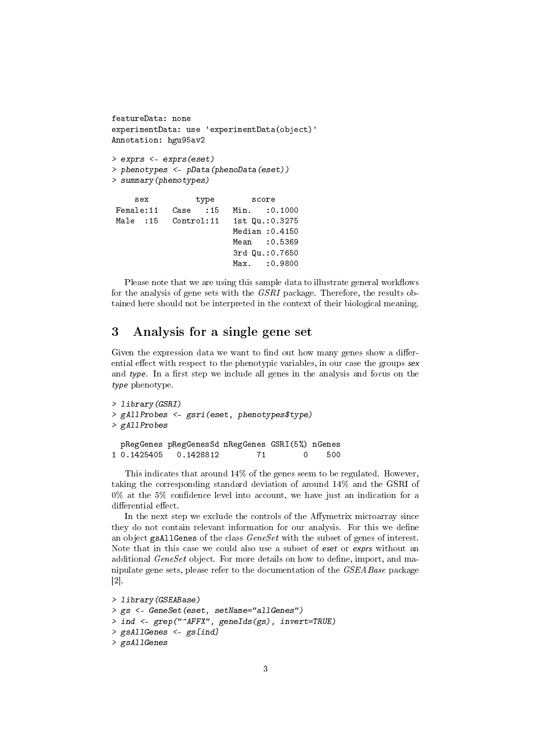```
featureData: none
experimentData: use 'experimentData(object)'
Annotation: hgu95av2
> exprs <- exprs(eset)
> phenotypes <- pData(phenoData(eset))
> summary(phenotypes)
    sex type score
Female:11 Case :15 Min. :0.1000
Male :15 Control:11 1st Qu.:0.3275
                        Median :0.4150
                        Mean : 0.5369
                        3rd Qu.:0.7650
                        Max. : 0.9800
```
Please note that we are using this sample data to illustrate general workflows for the analysis of gene sets with the GSRI package. Therefore, the results obtained here should not be interpreted in the context of their biological meaning.

# 3 Analysis for a single gene set

Given the expression data we want to find out how many genes show a differential effect with respect to the phenotypic variables, in our case the groups sex and type. In a first step we include all genes in the analysis and focus on the type phenotype.

```
> library(GSRI)
> gAllProbes <- gsri(eset, phenotypes$type)
> gAllProbes
 pRegGenes pRegGenesSd nRegGenes GSRI(5%) nGenes
1 0.1425405 0.1428812 71 0 500
```
This indicates that around 14% of the genes seem to be regulated. However, taking the corresponding standard deviation of around 14% and the GSRI of  $0\%$  at the 5% confidence level into account, we have just an indication for a differential effect.

In the next step we exclude the controls of the Affymetrix microarray since they do not contain relevant information for our analysis. For this we define an object gsAllGenes of the class GeneSet with the subset of genes of interest. Note that in this case we could also use a subset of eset or exprs without an additional *GeneSet* object. For more details on how to define, import, and manipulate gene sets, please refer to the documentation of the GSEABase package [\[2\]](#page-8-1).

```
> library(GSEABase)
> gs <- GeneSet(eset, setName="allGenes")
> ind <- grep("^AFFX", geneIds(gs), invert=TRUE)
> gsAllGenes <- gs[ind]
> gsAllGenes
```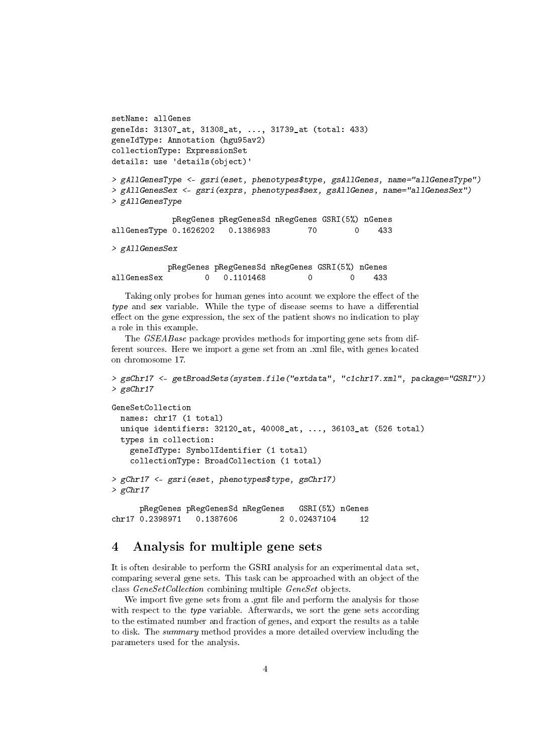```
setName: allGenes
geneIds: 31307_at, 31308_at, ..., 31739_at (total: 433)
geneIdType: Annotation (hgu95av2)
collectionType: ExpressionSet
details: use 'details(object)'
> gAllGenesType <- gsri(eset, phenotypes$type, gsAllGenes, name="allGenesType")
> gAllGenesSex <- gsri(exprs, phenotypes$sex, gsAllGenes, name="allGenesSex")
> gAllGenesType
            pRegGenes pRegGenesSd nRegGenes GSRI(5%) nGenes
allGenesType 0.1626202 0.1386983 70 0 433
> gAllGenesSex
           pRegGenes pRegGenesSd nRegGenes GSRI(5%) nGenes
allGenesSex 0 0.1101468 0 0 433
```
Taking only probes for human genes into acount we explore the effect of the type and sex variable. While the type of disease seems to have a differential effect on the gene expression, the sex of the patient shows no indication to play a role in this example.

The GSEABase package provides methods for importing gene sets from different sources. Here we import a gene set from an .xml file, with genes located on chromosome 17.

```
> gsChr17 <- getBroadSets(system.file("extdata", "c1chr17.xml", package="GSRI"))
> gsChr17
```

```
GeneSetCollection
 names: chr17 (1 total)
 unique identifiers: 32120_at, 40008_at, ..., 36103_at (526 total)
  types in collection:
   geneIdType: SymbolIdentifier (1 total)
    collectionType: BroadCollection (1 total)
> gChr17 <- gsri(eset, phenotypes$type, gsChr17)
> gChr17pRegGenes pRegGenesSd nRegGenes GSRI(5%) nGenes
chr17 0.2398971 0.1387606 2 0.02437104 12
```
### 4 Analysis for multiple gene sets

It is often desirable to perform the GSRI analysis for an experimental data set, comparing several gene sets. This task can be approached with an object of the class GeneSetCollection combining multiple GeneSet objects.

We import five gene sets from a .gmt file and perform the analysis for those with respect to the type variable. Afterwards, we sort the gene sets according to the estimated number and fraction of genes, and export the results as a table to disk. The summary method provides a more detailed overview including the parameters used for the analysis.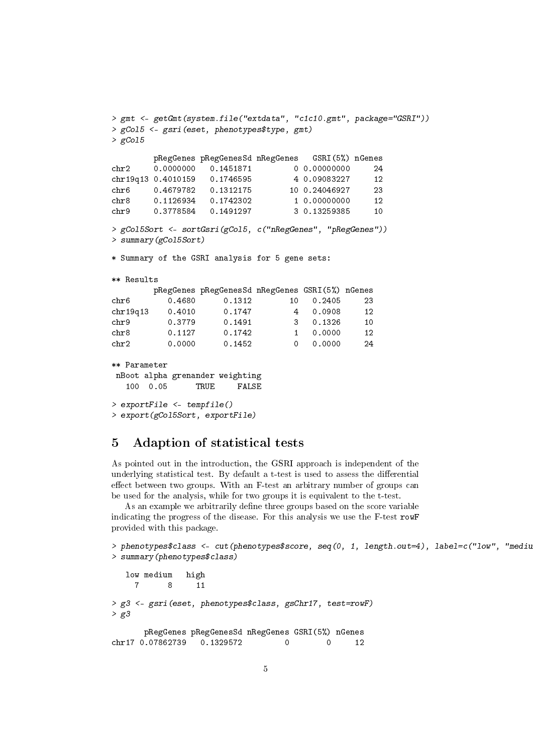```
> gmt <- getGmt(system.file("extdata", "c1c10.gmt", package="GSRI"))
> gCol5 <- gsri(eset, phenotypes$type, gmt)
> gCol5
       pRegGenes pRegGenesSd nRegGenes GSRI(5%) nGenes
chr2 0.0000000 0.1451871 0 0.00000000 24
chr19q13 0.4010159 0.1746595 4 0.09083227 12
chr6 0.4679782 0.1312175 10 0.24046927 23
chr8 0.1126934 0.1742302 1 0.00000000 12
chr9 0.3778584 0.1491297 3 0.13259385 10
> gCol5Sort <- sortGsri(gCol5, c("nRegGenes", "pRegGenes"))
> summary(gCol5Sort)
* Summary of the GSRI analysis for 5 gene sets:
** Results
       pRegGenes pRegGenesSd nRegGenes GSRI(5%) nGenes
chr6 0.4680 0.1312 10 0.2405 23
chr19q13 0.4010 0.1747 4 0.0908 12
chr9 0.3779 0.1491 3 0.1326 10
chr8 0.1127 0.1742 1 0.0000 12
chr2 0.0000 0.1452 0 0.0000 24
** Parameter
nBoot alpha grenander weighting
  100 0.05 TRUE FALSE
> exportFile <- tempfile()
> export(gCol5Sort, exportFile)
```
#### 5 Adaption of statistical tests

As pointed out in the introduction, the GSRI approach is independent of the underlying statistical test. By default a t-test is used to assess the differential effect between two groups. With an F-test an arbitrary number of groups can be used for the analysis, while for two groups it is equivalent to the t-test.

As an example we arbitrarily define three groups based on the score variable indicating the progress of the disease. For this analysis we use the F-test rowF provided with this package.

```
> phenotypes$class <- cut(phenotypes$score, seq(0, 1, length.out=4), label=c("low", "medium")
> summary(phenotypes$class)
```

```
low medium high
    7 8 11
> g3 <- gsri(eset, phenotypes$class, gsChr17, test=rowF)
> g3pRegGenes pRegGenesSd nRegGenes GSRI(5%) nGenes
chr17 0.07862739 0.1329572 0 0 12
```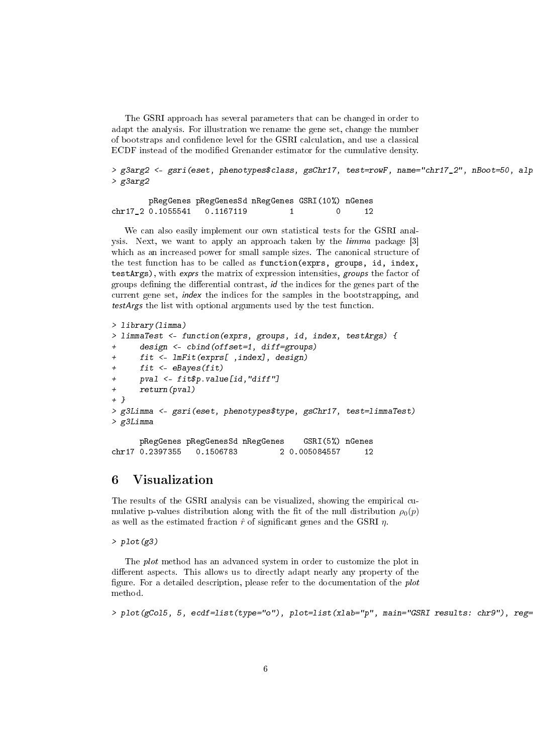The GSRI approach has several parameters that can be changed in order to adapt the analysis. For illustration we rename the gene set, change the number of bootstraps and condence level for the GSRI calculation, and use a classical ECDF instead of the modified Grenander estimator for the cumulative density.

> g3arg2 <- gsri(eset, phenotypes\$class, gsChr17, test=rowF, name="chr17\_2", nBoot=50, alp > g3arg2

pRegGenes pRegGenesSd nRegGenes GSRI(10%) nGenes chr17 2 0.1055541 0.1167119 1 0 12

We can also easily implement our own statistical tests for the GSRI analysis. Next, we want to apply an approach taken by the limma package [\[3\]](#page-8-2) which as an increased power for small sample sizes. The canonical structure of the test function has to be called as function(exprs, groups, id, index, testArgs), with exprs the matrix of expression intensities, groups the factor of groups defining the differential contrast,  $id$  the indices for the genes part of the current gene set, index the indices for the samples in the bootstrapping, and testArgs the list with optional arguments used by the test function.

```
> library(limma)
> limmaTest <- function(exprs, groups, id, index, testArgs) {
+ design <- cbind(offset=1, diff=groups)
+ fit <- lmFit(exprs[ ,index], design)
     fit <- eBayes(fit)
     pval \leftarrow fit\p.value[id,"diff"]
     return(pval)+ }
> g3Limma <- gsri(eset, phenotypes$type, gsChr17, test=limmaTest)
> g3Limma
     pRegGenes pRegGenesSd nRegGenes GSRI(5%) nGenes
chr17 0.2397355 0.1506783 2 0.005084557 12
```
## 6 Visualization

The results of the GSRI analysis can be visualized, showing the empirical cumulative p-values distribution along with the fit of the null distribution  $\rho_0(p)$ as well as the estimated fraction  $\hat{r}$  of significant genes and the GSRI  $\eta$ .

 $> plot(g3)$ 

The plot method has an advanced system in order to customize the plot in different aspects. This allows us to directly adapt nearly any property of the figure. For a detailed description, please refer to the documentation of the *plot* method.

> plot(gCol5, 5, ecdf=list(type="o"), plot=list(xlab="p", main="GSRI results: chr9"), reg=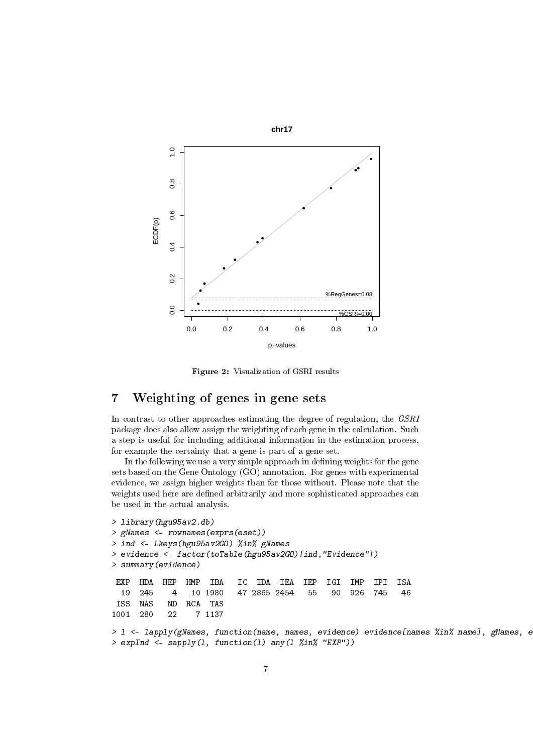

Figure 2: Visualization of GSRI results

# 7 Weighting of genes in gene sets

In contrast to other approaches estimating the degree of regulation, the GSRI package does also allow assign the weighting of each gene in the calculation. Such a step is useful for including additional information in the estimation process, for example the certainty that a gene is part of a gene set.

In the following we use a very simple approach in defining weights for the gene sets based on the Gene Ontology (GO) annotation. For genes with experimental evidence, we assign higher weights than for those without. Please note that the weights used here are defined arbitrarily and more sophisticated approaches can be used in the actual analysis.

```
> library(hgu95av2.db)
> gNames <- rownames(exprs(eset))
> ind <- Lkeys(hgu95av2GO) %in% gNames
> evidence <- factor(toTable(hgu95av2GO)[ind,"Evidence"])
> summary(evidence)
 EXP HDA HEP HMP IBA IC IDA IEA IEP IGI IMP IPI ISA
19 245 4 10 1980 47 2865 2454 55 90 926 745 46
     NAS ND RCA
1001 280 22 7 1137
> 1 <- lapply(gNames, function(name, names, evidence) evidence[names %in% name], gNames, e
> expInd <- sapply(1, function(1) any(1 \frac{\pi}{2}in\frac{\pi}{6} "EXP"))
```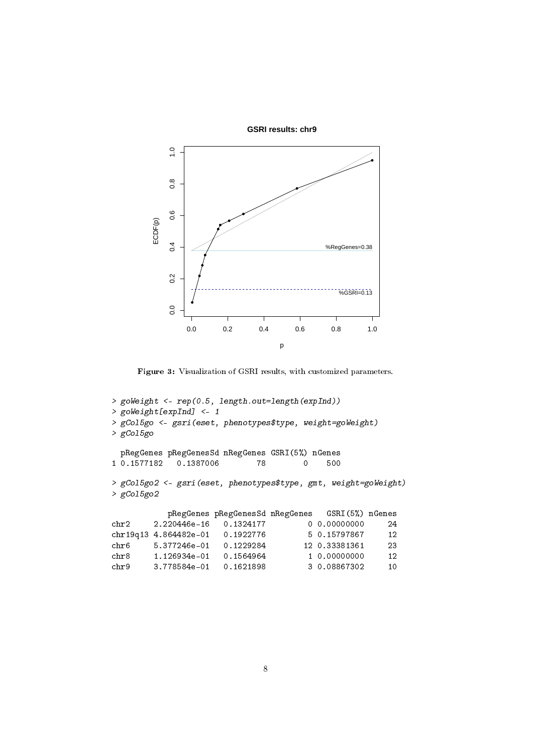

Figure 3: Visualization of GSRI results, with customized parameters.

```
> goWeight <- rep(0.5, length.out=length(expInd))
> goWeight[expInd] <- 1
> gCol5go <- gsri(eset, phenotypes$type, weight=goWeight)
> gCol5go
 pRegGenes pRegGenesSd nRegGenes GSRI(5%) nGenes<br>0.1577182 0.1387006 78 0 500
1 0.1577182 0.1387006 78 0 500
> gCol5go2 <- gsri(eset, phenotypes$type, gmt, weight=goWeight)
> gCol5go2
          pRegGenes pRegGenesSd nRegGenes GSRI(5%) nGenes
chr2 2.220446e-16 0.1324177 0 0.00000000 24
chr19q13 4.864482e-01 0.1922776 5 0.15797867 12
chr6 5.377246e-01 0.1229284 12 0.33381361 23
chr8 1.126934e-01 0.1564964 1 0.00000000 12
chr9 3.778584e-01 0.1621898 3 0.08867302 10
```